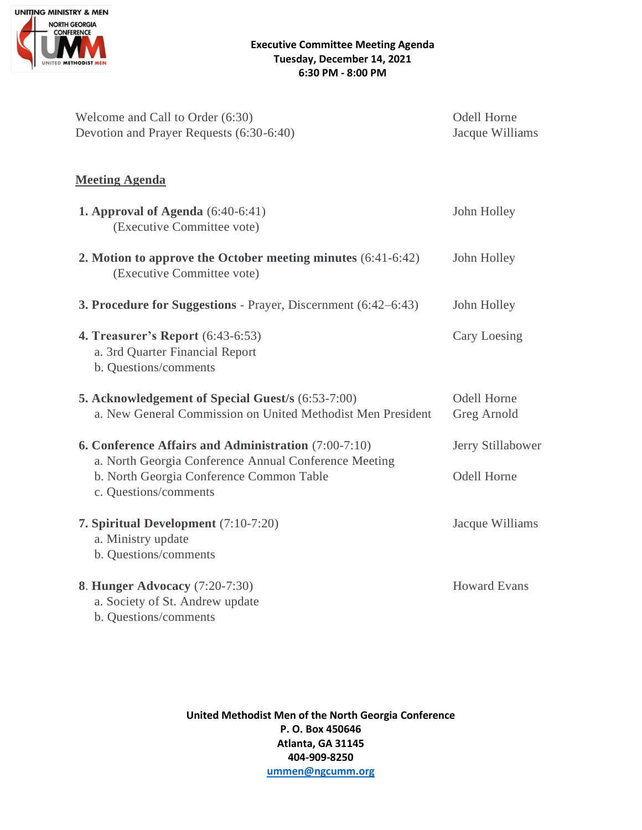

| Welcome and Call to Order (6:30)<br>Devotion and Prayer Requests (6:30-6:40)                                                                                                       | Odell Horne<br>Jacque Williams |
|------------------------------------------------------------------------------------------------------------------------------------------------------------------------------------|--------------------------------|
| <b>Meeting Agenda</b>                                                                                                                                                              |                                |
| <b>1. Approval of Agenda</b> $(6:40-6:41)$<br>(Executive Committee vote)                                                                                                           | John Holley                    |
| 2. Motion to approve the October meeting minutes (6:41-6:42)<br>(Executive Committee vote)                                                                                         | John Holley                    |
| <b>3. Procedure for Suggestions - Prayer, Discernment (6:42–6:43)</b>                                                                                                              | John Holley                    |
| <b>4. Treasurer's Report</b> (6:43-6:53)<br>a. 3rd Quarter Financial Report<br>b. Questions/comments                                                                               | Cary Loesing                   |
| 5. Acknowledgement of Special Guest/s (6:53-7:00)<br>a. New General Commission on United Methodist Men President                                                                   | Odell Horne<br>Greg Arnold     |
| 6. Conference Affairs and Administration (7:00-7:10)<br>a. North Georgia Conference Annual Conference Meeting<br>b. North Georgia Conference Common Table<br>c. Questions/comments | Jerry Stillabower              |
|                                                                                                                                                                                    | Odell Horne                    |
| 7. Spiritual Development (7:10-7:20)<br>a. Ministry update<br>b. Questions/comments                                                                                                | Jacque Williams                |
| <b>8. Hunger Advocacy</b> (7:20-7:30)<br>a. Society of St. Andrew update<br>b. Questions/comments                                                                                  | <b>Howard Evans</b>            |

**United Methodist Men of the North Georgia Conference P. O. Box 450646 Atlanta, GA 31145 404-909-8250 [ummen@ngcumm.org](mailto:ummen@ngcumm.org)**